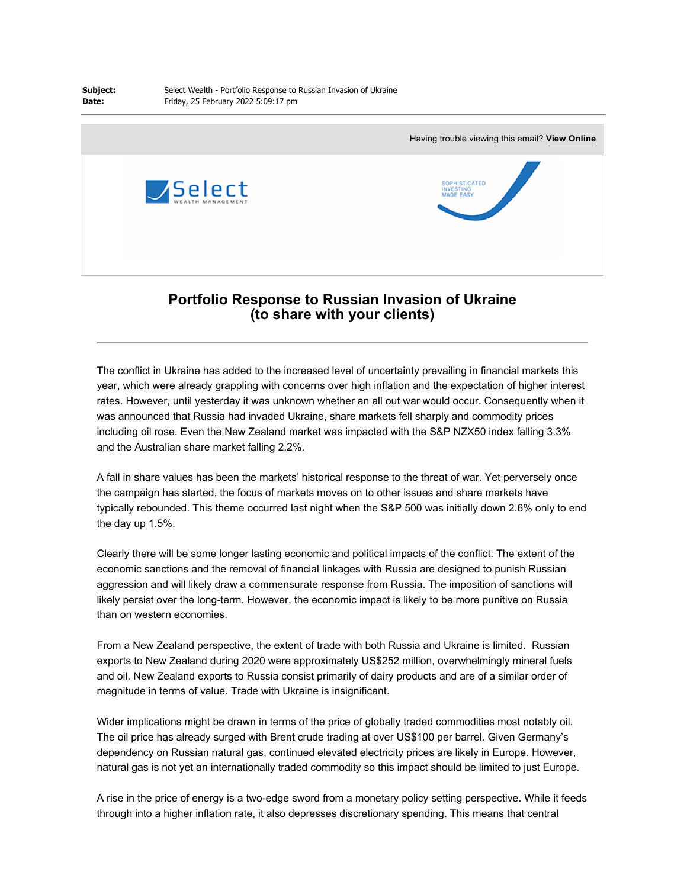**Date:**



## **Portfolio Response to Russian Invasion of Ukraine (to share with your clients)**

The conflict in Ukraine has added to the increased level of uncertainty prevailing in financial markets this year, which were already grappling with concerns over high inflation and the expectation of higher interest rates. However, until yesterday it was unknown whether an all out war would occur. Consequently when it was announced that Russia had invaded Ukraine, share markets fell sharply and commodity prices including oil rose. Even the New Zealand market was impacted with the S&P NZX50 index falling 3.3% and the Australian share market falling 2.2%.

A fall in share values has been the markets' historical response to the threat of war. Yet perversely once the campaign has started, the focus of markets moves on to other issues and share markets have typically rebounded. This theme occurred last night when the S&P 500 was initially down 2.6% only to end the day up 1.5%.

Clearly there will be some longer lasting economic and political impacts of the conflict. The extent of the economic sanctions and the removal of financial linkages with Russia are designed to punish Russian aggression and will likely draw a commensurate response from Russia. The imposition of sanctions will likely persist over the long-term. However, the economic impact is likely to be more punitive on Russia than on western economies.

From a New Zealand perspective, the extent of trade with both Russia and Ukraine is limited. Russian exports to New Zealand during 2020 were approximately US\$252 million, overwhelmingly mineral fuels and oil. New Zealand exports to Russia consist primarily of dairy products and are of a similar order of magnitude in terms of value. Trade with Ukraine is insignificant.

Wider implications might be drawn in terms of the price of globally traded commodities most notably oil. The oil price has already surged with Brent crude trading at over US\$100 per barrel. Given Germany's dependency on Russian natural gas, continued elevated electricity prices are likely in Europe. However, natural gas is not yet an internationally traded commodity so this impact should be limited to just Europe.

A rise in the price of energy is a two-edge sword from a monetary policy setting perspective. While it feeds through into a higher inflation rate, it also depresses discretionary spending. This means that central